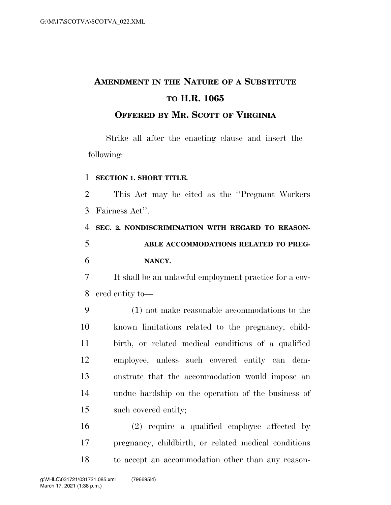# **AMENDMENT IN THE NATURE OF A SUBSTITUTE TO H.R. 1065**

**OFFERED BY MR. SCOTT OF VIRGINIA**

Strike all after the enacting clause and insert the following:

## **SECTION 1. SHORT TITLE.**

 This Act may be cited as the ''Pregnant Workers Fairness Act''.

 **SEC. 2. NONDISCRIMINATION WITH REGARD TO REASON- ABLE ACCOMMODATIONS RELATED TO PREG-NANCY.** 

 It shall be an unlawful employment practice for a cov-ered entity to—

 (1) not make reasonable accommodations to the known limitations related to the pregnancy, child- birth, or related medical conditions of a qualified employee, unless such covered entity can dem- onstrate that the accommodation would impose an undue hardship on the operation of the business of such covered entity;

 (2) require a qualified employee affected by pregnancy, childbirth, or related medical conditions to accept an accommodation other than any reason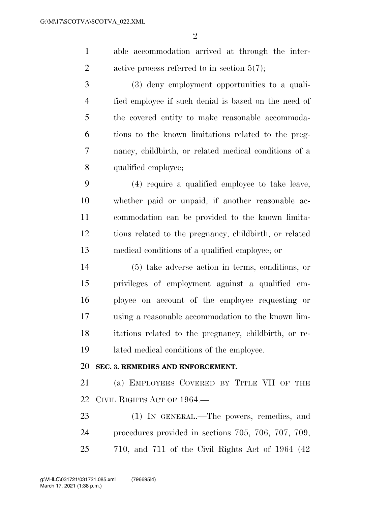$\mathfrak{D}$ 

 able accommodation arrived at through the inter-2 active process referred to in section  $5(7)$ ;

 (3) deny employment opportunities to a quali- fied employee if such denial is based on the need of the covered entity to make reasonable accommoda- tions to the known limitations related to the preg- nancy, childbirth, or related medical conditions of a qualified employee;

 (4) require a qualified employee to take leave, whether paid or unpaid, if another reasonable ac- commodation can be provided to the known limita- tions related to the pregnancy, childbirth, or related medical conditions of a qualified employee; or

 (5) take adverse action in terms, conditions, or privileges of employment against a qualified em- ployee on account of the employee requesting or using a reasonable accommodation to the known lim- itations related to the pregnancy, childbirth, or re-lated medical conditions of the employee.

## **SEC. 3. REMEDIES AND ENFORCEMENT.**

 (a) EMPLOYEES COVERED BY TITLE VII OF THE CIVIL RIGHTS ACT OF 1964.—

23 (1) IN GENERAL.—The powers, remedies, and procedures provided in sections 705, 706, 707, 709, 710, and 711 of the Civil Rights Act of 1964 (42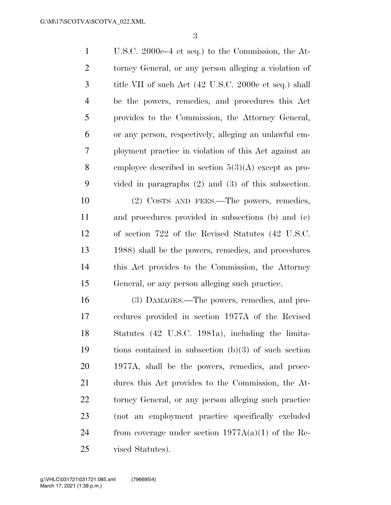U.S.C. 2000e–4 et seq.) to the Commission, the At- torney General, or any person alleging a violation of title VII of such Act (42 U.S.C. 2000e et seq.) shall be the powers, remedies, and procedures this Act provides to the Commission, the Attorney General, or any person, respectively, alleging an unlawful em- ployment practice in violation of this Act against an employee described in section 5(3)(A) except as pro- vided in paragraphs (2) and (3) of this subsection. (2) COSTS AND FEES.—The powers, remedies,

 and procedures provided in subsections (b) and (c) of section 722 of the Revised Statutes (42 U.S.C. 1988) shall be the powers, remedies, and procedures this Act provides to the Commission, the Attorney General, or any person alleging such practice.

 (3) DAMAGES.—The powers, remedies, and pro- cedures provided in section 1977A of the Revised Statutes (42 U.S.C. 1981a), including the limita- tions contained in subsection (b)(3) of such section 1977A, shall be the powers, remedies, and proce- dures this Act provides to the Commission, the At- torney General, or any person alleging such practice (not an employment practice specifically excluded 24 from coverage under section  $1977A(a)(1)$  of the Re-vised Statutes).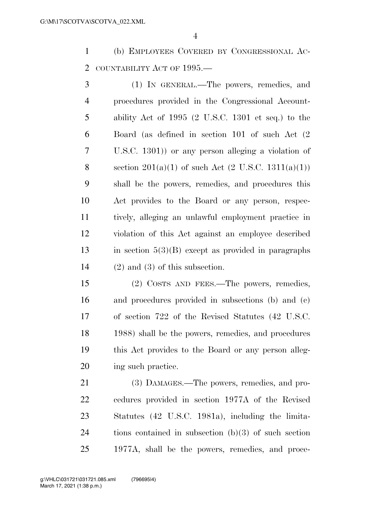(b) EMPLOYEES COVERED BY CONGRESSIONAL AC-COUNTABILITY ACT OF 1995.—

 (1) IN GENERAL.—The powers, remedies, and procedures provided in the Congressional Account- ability Act of 1995 (2 U.S.C. 1301 et seq.) to the Board (as defined in section 101 of such Act (2 U.S.C. 1301)) or any person alleging a violation of 8 section  $201(a)(1)$  of such Act  $(2 \text{ U.S.C. } 1311(a)(1))$  shall be the powers, remedies, and procedures this Act provides to the Board or any person, respec- tively, alleging an unlawful employment practice in violation of this Act against an employee described in section 5(3)(B) except as provided in paragraphs (2) and (3) of this subsection.

 (2) COSTS AND FEES.—The powers, remedies, and procedures provided in subsections (b) and (c) of section 722 of the Revised Statutes (42 U.S.C. 1988) shall be the powers, remedies, and procedures this Act provides to the Board or any person alleg-ing such practice.

 (3) DAMAGES.—The powers, remedies, and pro- cedures provided in section 1977A of the Revised Statutes (42 U.S.C. 1981a), including the limita- tions contained in subsection (b)(3) of such section 1977A, shall be the powers, remedies, and proce-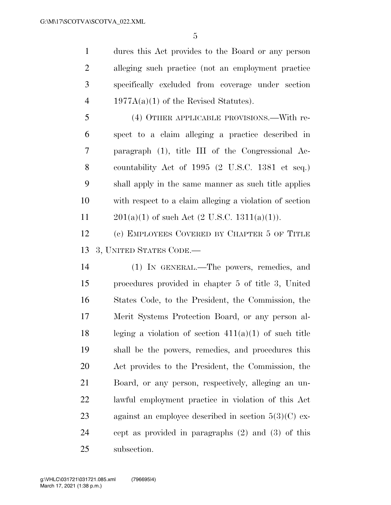dures this Act provides to the Board or any person alleging such practice (not an employment practice specifically excluded from coverage under section 4 1977A(a)(1) of the Revised Statutes).

 (4) OTHER APPLICABLE PROVISIONS.—With re- spect to a claim alleging a practice described in paragraph (1), title III of the Congressional Ac- countability Act of 1995 (2 U.S.C. 1381 et seq.) shall apply in the same manner as such title applies with respect to a claim alleging a violation of section  $201(a)(1)$  of such Act  $(2 \text{ U.S.C. } 1311(a)(1))$ .

 (c) EMPLOYEES COVERED BY CHAPTER 5 OF TITLE 3, UNITED STATES CODE.—

 (1) IN GENERAL.—The powers, remedies, and procedures provided in chapter 5 of title 3, United States Code, to the President, the Commission, the Merit Systems Protection Board, or any person al-18 leging a violation of section  $411(a)(1)$  of such title shall be the powers, remedies, and procedures this Act provides to the President, the Commission, the Board, or any person, respectively, alleging an un- lawful employment practice in violation of this Act 23 against an employee described in section  $5(3)(C)$  ex- cept as provided in paragraphs (2) and (3) of this subsection.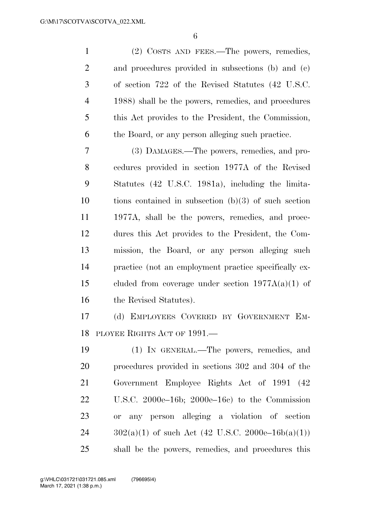| $\mathbf{1}$   | (2) COSTS AND FEES.—The powers, remedies,              |
|----------------|--------------------------------------------------------|
| $\overline{2}$ | and procedures provided in subsections (b) and (c)     |
| 3              | of section 722 of the Revised Statutes (42 U.S.C.      |
| $\overline{4}$ | 1988) shall be the powers, remedies, and procedures    |
| 5              | this Act provides to the President, the Commission,    |
| 6              | the Board, or any person alleging such practice.       |
| 7              | (3) DAMAGES.—The powers, remedies, and pro-            |
| 8              | cedures provided in section 1977A of the Revised       |
| 9              | Statutes (42 U.S.C. 1981a), including the limita-      |
| 10             | tions contained in subsection $(b)(3)$ of such section |
| 11             | 1977A, shall be the powers, remedies, and proce-       |
| 12             | dures this Act provides to the President, the Com-     |
| 13             | mission, the Board, or any person alleging such        |
| 14             | practice (not an employment practice specifically ex-  |
| 15             | cluded from coverage under section $1977A(a)(1)$ of    |
| 16             | the Revised Statutes).                                 |
| 17             | (d) EMPLOYEES COVERED BY GOVERNMENT EM-                |
|                | 18 PLOYEE RIGHTS ACT OF 1991.                          |
| 19             | (1) IN GENERAL.—The powers, remedies, and              |
| 20             | procedures provided in sections 302 and 304 of the     |
| 21             | Government Employee Rights Act of 1991 (42             |
| 22             | U.S.C. 2000e–16b; 2000e–16c) to the Commission         |
| 23             | or any person alleging a violation of section          |
| 24             | $302(a)(1)$ of such Act (42 U.S.C. 2000e–16b(a)(1))    |
| 25             | shall be the powers, remedies, and procedures this     |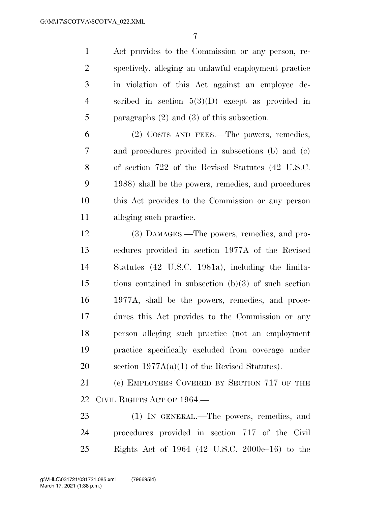Act provides to the Commission or any person, re- spectively, alleging an unlawful employment practice in violation of this Act against an employee de- scribed in section 5(3)(D) except as provided in paragraphs (2) and (3) of this subsection.

 (2) COSTS AND FEES.—The powers, remedies, and procedures provided in subsections (b) and (c) of section 722 of the Revised Statutes (42 U.S.C. 1988) shall be the powers, remedies, and procedures this Act provides to the Commission or any person alleging such practice.

 (3) DAMAGES.—The powers, remedies, and pro- cedures provided in section 1977A of the Revised Statutes (42 U.S.C. 1981a), including the limita- tions contained in subsection (b)(3) of such section 1977A, shall be the powers, remedies, and proce- dures this Act provides to the Commission or any person alleging such practice (not an employment practice specifically excluded from coverage under section 1977A(a)(1) of the Revised Statutes).

 (e) EMPLOYEES COVERED BY SECTION 717 OF THE CIVIL RIGHTS ACT OF 1964.—

23 (1) IN GENERAL.—The powers, remedies, and procedures provided in section 717 of the Civil Rights Act of 1964 (42 U.S.C. 2000e–16) to the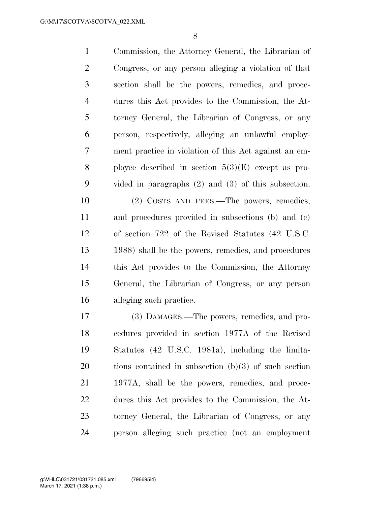Commission, the Attorney General, the Librarian of Congress, or any person alleging a violation of that section shall be the powers, remedies, and proce- dures this Act provides to the Commission, the At- torney General, the Librarian of Congress, or any person, respectively, alleging an unlawful employ- ment practice in violation of this Act against an em-8 ployee described in section  $5(3)(E)$  except as pro- vided in paragraphs (2) and (3) of this subsection. (2) COSTS AND FEES.—The powers, remedies, and procedures provided in subsections (b) and (c) of section 722 of the Revised Statutes (42 U.S.C.

 1988) shall be the powers, remedies, and procedures this Act provides to the Commission, the Attorney General, the Librarian of Congress, or any person alleging such practice.

 (3) DAMAGES.—The powers, remedies, and pro- cedures provided in section 1977A of the Revised Statutes (42 U.S.C. 1981a), including the limita- tions contained in subsection (b)(3) of such section 1977A, shall be the powers, remedies, and proce- dures this Act provides to the Commission, the At- torney General, the Librarian of Congress, or any person alleging such practice (not an employment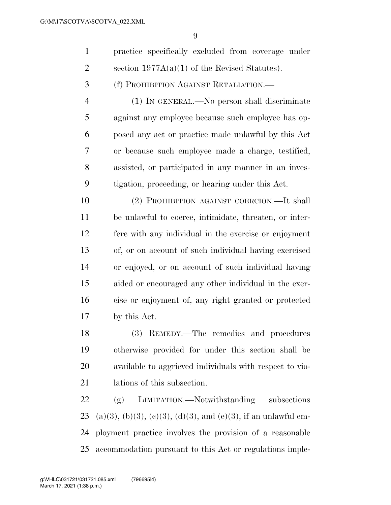| $\mathbf{1}$ | practice specifically excluded from coverage under |
|--------------|----------------------------------------------------|
| 2            | section $1977A(a)(1)$ of the Revised Statutes).    |
| $3 \quad$    | (f) PROHIBITION AGAINST RETALIATION.—              |

 (1) IN GENERAL.—No person shall discriminate against any employee because such employee has op- posed any act or practice made unlawful by this Act or because such employee made a charge, testified, assisted, or participated in any manner in an inves-tigation, proceeding, or hearing under this Act.

 (2) PROHIBITION AGAINST COERCION.—It shall be unlawful to coerce, intimidate, threaten, or inter- fere with any individual in the exercise or enjoyment of, or on account of such individual having exercised or enjoyed, or on account of such individual having aided or encouraged any other individual in the exer- cise or enjoyment of, any right granted or protected by this Act.

 (3) REMEDY.—The remedies and procedures otherwise provided for under this section shall be available to aggrieved individuals with respect to vio-lations of this subsection.

 (g) LIMITATION.—Notwithstanding subsections 23 (a)(3), (b)(3), (c)(3), (d)(3), and (e)(3), if an unlawful em- ployment practice involves the provision of a reasonable accommodation pursuant to this Act or regulations imple-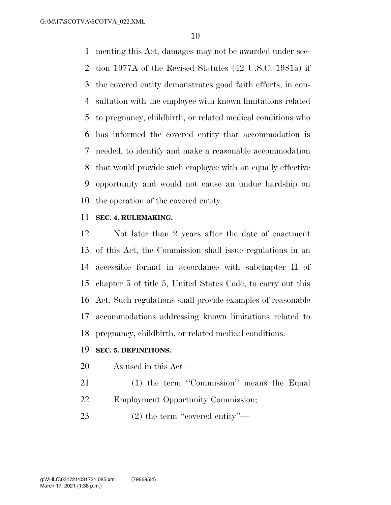menting this Act, damages may not be awarded under sec- tion 1977A of the Revised Statutes (42 U.S.C. 1981a) if the covered entity demonstrates good faith efforts, in con- sultation with the employee with known limitations related to pregnancy, childbirth, or related medical conditions who has informed the covered entity that accommodation is needed, to identify and make a reasonable accommodation that would provide such employee with an equally effective opportunity and would not cause an undue hardship on the operation of the covered entity.

### **SEC. 4. RULEMAKING.**

 Not later than 2 years after the date of enactment of this Act, the Commission shall issue regulations in an accessible format in accordance with subchapter II of chapter 5 of title 5, United States Code, to carry out this Act. Such regulations shall provide examples of reasonable accommodations addressing known limitations related to pregnancy, childbirth, or related medical conditions.

#### **SEC. 5. DEFINITIONS.**

- As used in this Act—
- 21 (1) the term "Commission" means the Equal Employment Opportunity Commission;
- 23 (2) the term "covered entity"—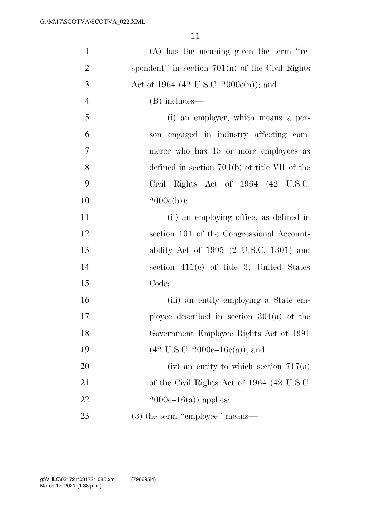| $\mathbf{1}$   | $(A)$ has the meaning given the term "re-         |
|----------------|---------------------------------------------------|
| $\overline{2}$ | spondent" in section $701(n)$ of the Civil Rights |
| 3              | Act of 1964 (42 U.S.C. 2000 $e(n)$ ); and         |
| $\overline{4}$ | (B) includes—                                     |
| 5              | (i) an employer, which means a per-               |
| 6              | son engaged in industry affecting com-            |
| $\tau$         | merce who has 15 or more employees as             |
| 8              | defined in section $701(b)$ of title VII of the   |
| 9              | Civil Rights Act of $1964$ $(42 \text{ U.S.C.})$  |
| 10             | $2000e(b)$ ;                                      |
| 11             | (ii) an employing office, as defined in           |
| 12             | section 101 of the Congressional Account-         |
| 13             | ability Act of $1995$ (2 U.S.C. 1301) and         |
| 14             | section $411(e)$ of title 3, United States        |
| 15             | Code;                                             |
| 16             | (iii) an entity employing a State em-             |
| 17             | ployee described in section $304(a)$ of the       |
| 18             | Government Employee Rights Act of 1991            |
| 19             | $(42 \text{ U.S.C. } 2000e-16c(a))$ ; and         |
| 20             | (iv) an entity to which section $717(a)$          |
| 21             | of the Civil Rights Act of 1964 (42 U.S.C.        |
| 22             | $2000e-16(a)$ applies;                            |
| 23             | $(3)$ the term "employee" means—                  |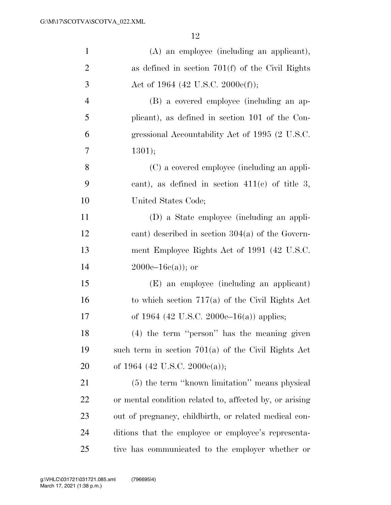| $\mathbf{1}$   | (A) an employee (including an applicant),               |
|----------------|---------------------------------------------------------|
| $\overline{2}$ | as defined in section $701(f)$ of the Civil Rights      |
| 3              | Act of 1964 (42 U.S.C. 2000e(f));                       |
| $\overline{4}$ | (B) a covered employee (including an ap-                |
| 5              | plicant), as defined in section 101 of the Con-         |
| 6              | gressional Accountability Act of 1995 (2 U.S.C.         |
| 7              | 1301);                                                  |
| 8              | (C) a covered employee (including an appli-             |
| 9              | cant), as defined in section $411(c)$ of title 3,       |
| 10             | United States Code;                                     |
| 11             | (D) a State employee (including an appli-               |
| 12             | cant) described in section $304(a)$ of the Govern-      |
| 13             | ment Employee Rights Act of 1991 (42 U.S.C.             |
| 14             | $2000e-16c(a)$ ; or                                     |
| 15             | (E) an employee (including an applicant)                |
| 16             | to which section $717(a)$ of the Civil Rights Act       |
| 17             | of 1964 (42 U.S.C. 2000e–16(a)) applies;                |
| 18             | (4) the term "person" has the meaning given             |
| 19             | such term in section $701(a)$ of the Civil Rights Act   |
| 20             | of 1964 (42 U.S.C. 2000 $e$ (a));                       |
| 21             | (5) the term "known limitation" means physical          |
| 22             | or mental condition related to, affected by, or arising |
| 23             | out of pregnancy, childbirth, or related medical con-   |
| 24             | ditions that the employee or employee's representa-     |
| 25             | tive has communicated to the employer whether or        |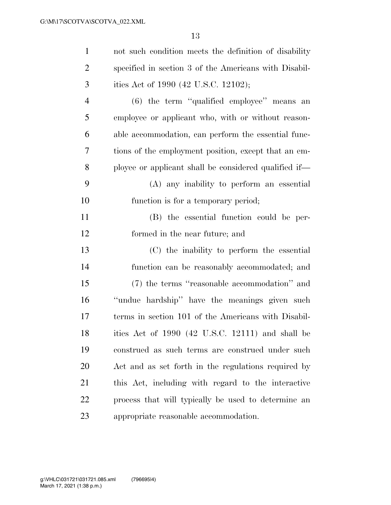| $\mathbf{1}$   | not such condition meets the definition of disability |
|----------------|-------------------------------------------------------|
| $\overline{2}$ | specified in section 3 of the Americans with Disabil- |
| 3              | ities Act of 1990 (42 U.S.C. 12102);                  |
| $\overline{4}$ | $(6)$ the term "qualified employee" means an          |
| 5              | employee or applicant who, with or without reason-    |
| 6              | able accommodation, can perform the essential func-   |
| 7              | tions of the employment position, except that an em-  |
| 8              | ployee or applicant shall be considered qualified if— |
| 9              | (A) any inability to perform an essential             |
| 10             | function is for a temporary period;                   |
| 11             | (B) the essential function could be per-              |
| 12             | formed in the near future; and                        |
| 13             | (C) the inability to perform the essential            |
| 14             | function can be reasonably accommodated; and          |
| 15             | (7) the terms "reasonable accommodation" and          |
| 16             | "undue hardship" have the meanings given such         |
| 17             | terms in section 101 of the Americans with Disabil-   |
| 18             | ities Act of 1990 (42 U.S.C. 12111) and shall be      |
| 19             | construed as such terms are construed under such      |
| 20             | Act and as set forth in the regulations required by   |
| 21             | this Act, including with regard to the interactive    |
| 22             | process that will typically be used to determine an   |
| 23             | appropriate reasonable accommodation.                 |